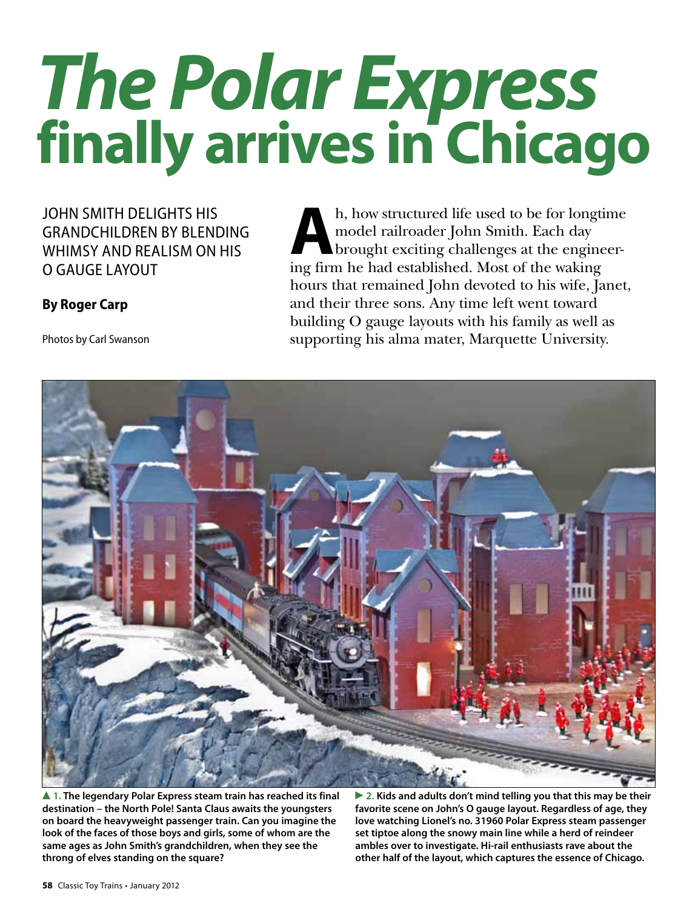# *The Polar Express* **finally arrives in Chicago**

# John Smith delights his grandchildren by blending whimsy and realism on HIS O GAUGE LAYOUT

# **By Roger Carp**

Ah, how structured life used to be for longtime<br>model railroader John Smith. Each day<br>brought exciting challenges at the engineer-<br>ing firm he had established. Most of the waking model railroader John Smith. Each day brought exciting challenges at the engineering firm he had established. Most of the waking hours that remained John devoted to his wife, Janet, and their three sons. Any time left went toward building O gauge layouts with his family as well as supporting his alma mater, Marquette University.



▲ **1. The legendary Polar Express steam train has reached its final destination – the North Pole! Santa Claus awaits the youngsters on board the heavyweight passenger train. Can you imagine the look of the faces of those boys and girls, some of whom are the same ages as John Smith's grandchildren, when they see the throng of elves standing on the square?**

▶ 2. Kids and adults don't mind telling you that this may be their **favorite scene on John's O gauge layout. Regardless of age, they love watching Lionel's no. 31960 Polar Express steam passenger set tiptoe along the snowy main line while a herd of reindeer ambles over to investigate. Hi-rail enthusiasts rave about the other half of the layout, which captures the essence of Chicago.**

Photos by Carl Swanson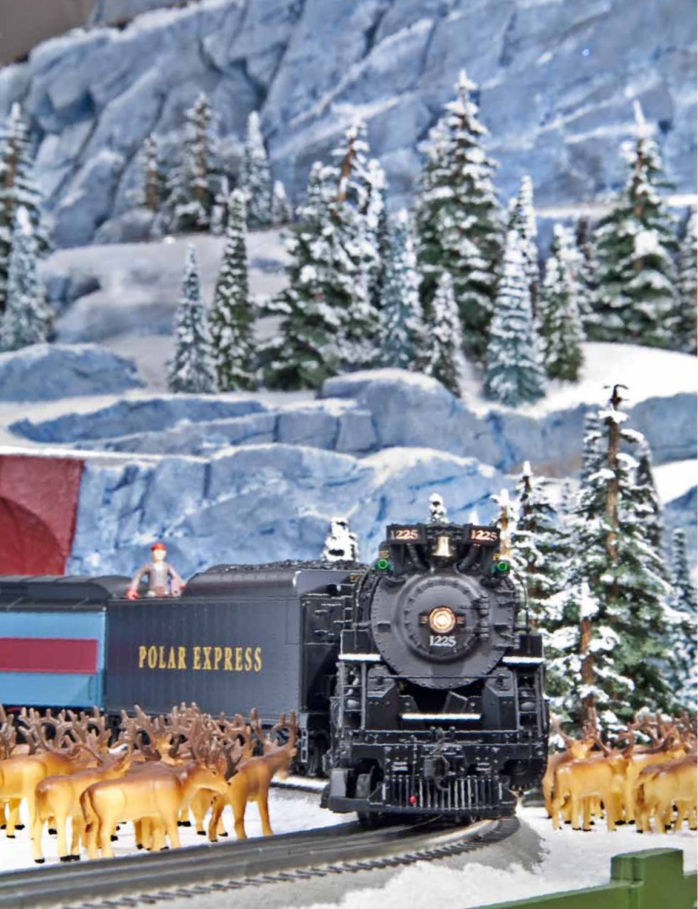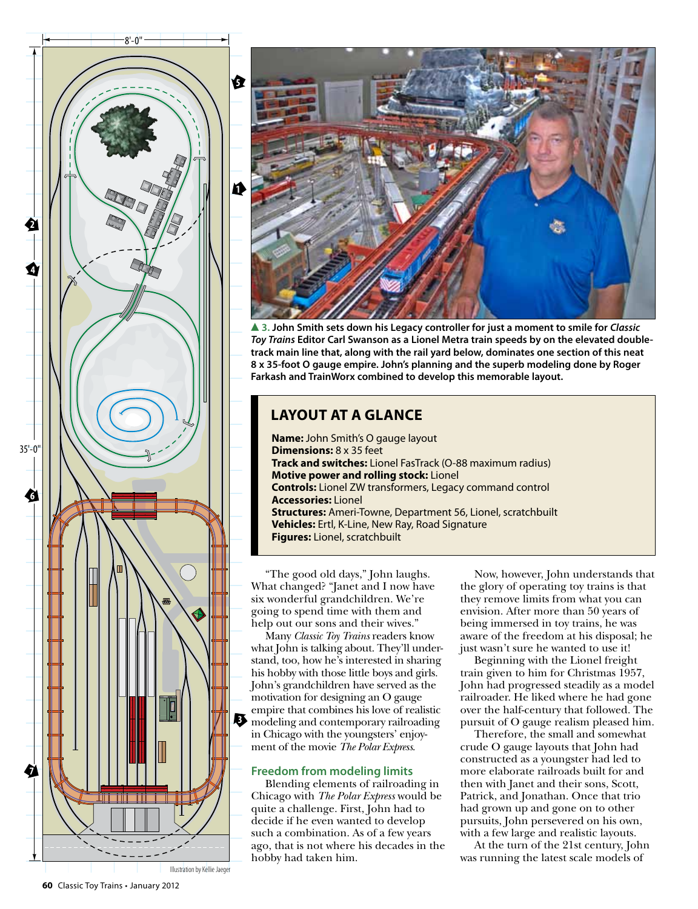



**▲ 3. John Smith sets down his Legacy controller for just a moment to smile for** *Classic Toy Trains* **Editor Carl Swanson as a Lionel Metra train speeds by on the elevated doubletrack main line that, along with the rail yard below, dominates one section of this neat 8 x 35-foot O gauge empire. John's planning and the superb modeling done by Roger Farkash and TrainWorx combined to develop this memorable layout.**

# **Layout at a glance**

**Name:** John Smith's O gauge layout **Dimensions:** 8 x 35 feet **Track and switches:** Lionel FasTrack (O-88 maximum radius) **Motive power and rolling stock:** Lionel **Controls:** Lionel ZW transformers, Legacy command control **Accessories:** Lionel **Structures:** Ameri-Towne, Department 56, Lionel, scratchbuilt **Vehicles:** Ertl, K-Line, New Ray, Road Signature **Figures:** Lionel, scratchbuilt

"The good old days," John laughs. What changed? "Janet and I now have six wonderful grandchildren. We're going to spend time with them and help out our sons and their wives."

Many *Classic Toy Trains* readers know what John is talking about. They'll understand, too, how he's interested in sharing his hobby with those little boys and girls. John's grandchildren have served as the motivation for designing an O gauge empire that combines his love of realistic modeling and contemporary railroading in Chicago with the youngsters' enjoyment of the movie *The Polar Express*.

# **Freedom from modeling limits**

Blending elements of railroading in Chicago with *The Polar Express* would be quite a challenge. First, John had to decide if he even wanted to develop such a combination. As of a few years ago, that is not where his decades in the hobby had taken him.

Now, however, John understands that the glory of operating toy trains is that they remove limits from what you can envision. After more than 50 years of being immersed in toy trains, he was aware of the freedom at his disposal; he just wasn't sure he wanted to use it!

Beginning with the Lionel freight train given to him for Christmas 1957, John had progressed steadily as a model railroader. He liked where he had gone over the half-century that followed. The pursuit of O gauge realism pleased him.

Therefore, the small and somewhat crude O gauge layouts that John had constructed as a youngster had led to more elaborate railroads built for and then with Janet and their sons, Scott, Patrick, and Jonathan. Once that trio had grown up and gone on to other pursuits, John persevered on his own, with a few large and realistic layouts.

At the turn of the 21st century, John was running the latest scale models of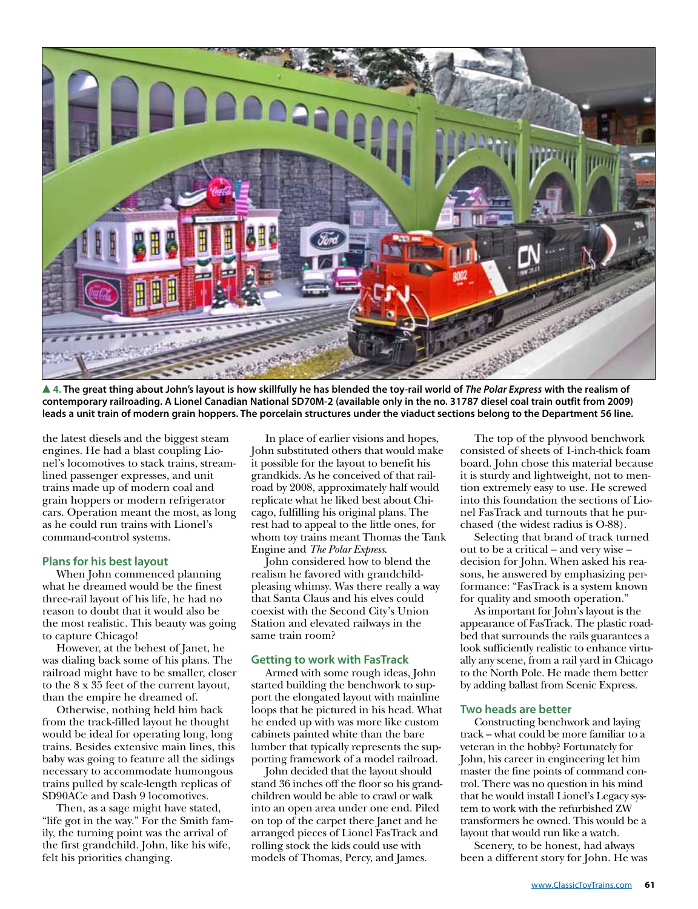

▲ 4. The great thing about John's layout is how skillfully he has blended the toy-rail world of *The Polar Express* with the realism of **contemporary railroading. A Lionel Canadian National SD70M-2 (available only in the no. 31787 diesel coal train outfit from 2009) leads a unit train of modern grain hoppers. The porcelain structures under the viaduct sections belong to the Department 56 line.**

the latest diesels and the biggest steam engines. He had a blast coupling Lionel's locomotives to stack trains, streamlined passenger expresses, and unit trains made up of modern coal and grain hoppers or modern refrigerator cars. Operation meant the most, as long as he could run trains with Lionel's command-control systems.

### **Plans for his best layout**

When John commenced planning what he dreamed would be the finest three-rail layout of his life, he had no reason to doubt that it would also be the most realistic. This beauty was going to capture Chicago!

However, at the behest of Janet, he was dialing back some of his plans. The railroad might have to be smaller, closer to the 8 x 35 feet of the current layout, than the empire he dreamed of.

Otherwise, nothing held him back from the track-filled layout he thought would be ideal for operating long, long trains. Besides extensive main lines, this baby was going to feature all the sidings necessary to accommodate humongous trains pulled by scale-length replicas of SD90ACe and Dash 9 locomotives.

Then, as a sage might have stated, "life got in the way." For the Smith family, the turning point was the arrival of the first grandchild. John, like his wife, felt his priorities changing.

In place of earlier visions and hopes, John substituted others that would make it possible for the layout to benefit his grandkids. As he conceived of that railroad by 2008, approximately half would replicate what he liked best about Chicago, fulfilling his original plans. The rest had to appeal to the little ones, for whom toy trains meant Thomas the Tank Engine and *The Polar Express*.

John considered how to blend the realism he favored with grandchildpleasing whimsy. Was there really a way that Santa Claus and his elves could coexist with the Second City's Union Station and elevated railways in the same train room?

#### **Getting to work with FasTrack**

Armed with some rough ideas, John started building the benchwork to support the elongated layout with mainline loops that he pictured in his head. What he ended up with was more like custom cabinets painted white than the bare lumber that typically represents the supporting framework of a model railroad.

John decided that the layout should stand 36 inches off the floor so his grandchildren would be able to crawl or walk into an open area under one end. Piled on top of the carpet there Janet and he arranged pieces of Lionel FasTrack and rolling stock the kids could use with models of Thomas, Percy, and James.

The top of the plywood benchwork consisted of sheets of 1-inch-thick foam board. John chose this material because it is sturdy and lightweight, not to mention extremely easy to use. He screwed into this foundation the sections of Lionel FasTrack and turnouts that he purchased (the widest radius is O-88).

Selecting that brand of track turned out to be a critical – and very wise – decision for John. When asked his reasons, he answered by emphasizing performance: "FasTrack is a system known for quality and smooth operation."

As important for John's layout is the appearance of FasTrack. The plastic roadbed that surrounds the rails guarantees a look sufficiently realistic to enhance virtually any scene, from a rail yard in Chicago to the North Pole. He made them better by adding ballast from Scenic Express.

## **Two heads are better**

Constructing benchwork and laying track – what could be more familiar to a veteran in the hobby? Fortunately for John, his career in engineering let him master the fine points of command control. There was no question in his mind that he would install Lionel's Legacy system to work with the refurbished ZW transformers he owned. This would be a layout that would run like a watch.

Scenery, to be honest, had always been a different story for John. He was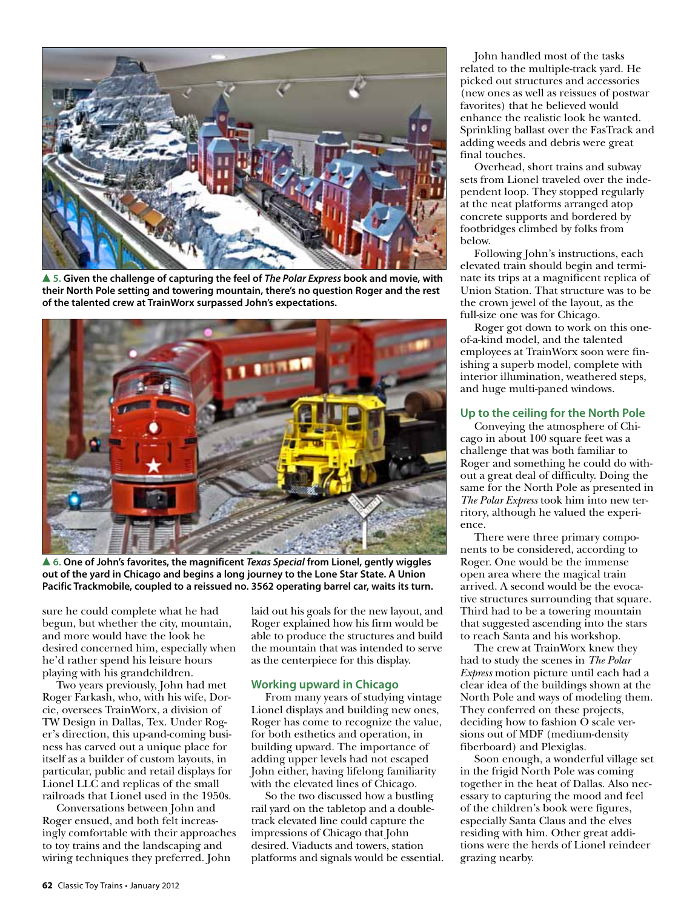

▲ **5. Given the challenge of capturing the feel of** *The Polar Express* **book and movie, with their North Pole setting and towering mountain, there's no question Roger and the rest of the talented crew at TrainWorx surpassed John's expectations.**



▲ **6. One of John's favorites, the magnificent** *Texas Special* **from Lionel, gently wiggles out of the yard in Chicago and begins a long journey to the Lone Star State. A Union Pacific Trackmobile, coupled to a reissued no. 3562 operating barrel car, waits its turn.**

sure he could complete what he had begun, but whether the city, mountain, and more would have the look he desired concerned him, especially when he'd rather spend his leisure hours playing with his grandchildren.

Two years previously, John had met Roger Farkash, who, with his wife, Dorcie, oversees TrainWorx, a division of TW Design in Dallas, Tex. Under Roger's direction, this up-and-coming business has carved out a unique place for itself as a builder of custom layouts, in particular, public and retail displays for Lionel LLC and replicas of the small railroads that Lionel used in the 1950s.

Conversations between John and Roger ensued, and both felt increasingly comfortable with their approaches to toy trains and the landscaping and wiring techniques they preferred. John

laid out his goals for the new layout, and Roger explained how his firm would be able to produce the structures and build the mountain that was intended to serve as the centerpiece for this display.

### **Working upward in Chicago**

From many years of studying vintage Lionel displays and building new ones, Roger has come to recognize the value, for both esthetics and operation, in building upward. The importance of adding upper levels had not escaped John either, having lifelong familiarity with the elevated lines of Chicago.

So the two discussed how a bustling rail yard on the tabletop and a doubletrack elevated line could capture the impressions of Chicago that John desired. Viaducts and towers, station platforms and signals would be essential.

John handled most of the tasks related to the multiple-track yard. He picked out structures and accessories (new ones as well as reissues of postwar favorites) that he believed would enhance the realistic look he wanted. Sprinkling ballast over the FasTrack and adding weeds and debris were great final touches.

Overhead, short trains and subway sets from Lionel traveled over the independent loop. They stopped regularly at the neat platforms arranged atop concrete supports and bordered by footbridges climbed by folks from below.

Following John's instructions, each elevated train should begin and terminate its trips at a magnificent replica of Union Station. That structure was to be the crown jewel of the layout, as the full-size one was for Chicago.

Roger got down to work on this oneof-a-kind model, and the talented employees at TrainWorx soon were finishing a superb model, complete with interior illumination, weathered steps, and huge multi-paned windows.

#### **Up to the ceiling for the North Pole**

Conveying the atmosphere of Chicago in about 100 square feet was a challenge that was both familiar to Roger and something he could do without a great deal of difficulty. Doing the same for the North Pole as presented in *The Polar Express* took him into new territory, although he valued the experience.

There were three primary components to be considered, according to Roger. One would be the immense open area where the magical train arrived. A second would be the evocative structures surrounding that square. Third had to be a towering mountain that suggested ascending into the stars to reach Santa and his workshop.

The crew at TrainWorx knew they had to study the scenes in *The Polar Express* motion picture until each had a clear idea of the buildings shown at the North Pole and ways of modeling them. They conferred on these projects, deciding how to fashion O scale versions out of MDF (medium-density fiberboard) and Plexiglas.

Soon enough, a wonderful village set in the frigid North Pole was coming together in the heat of Dallas. Also necessary to capturing the mood and feel of the children's book were figures, especially Santa Claus and the elves residing with him. Other great additions were the herds of Lionel reindeer grazing nearby.